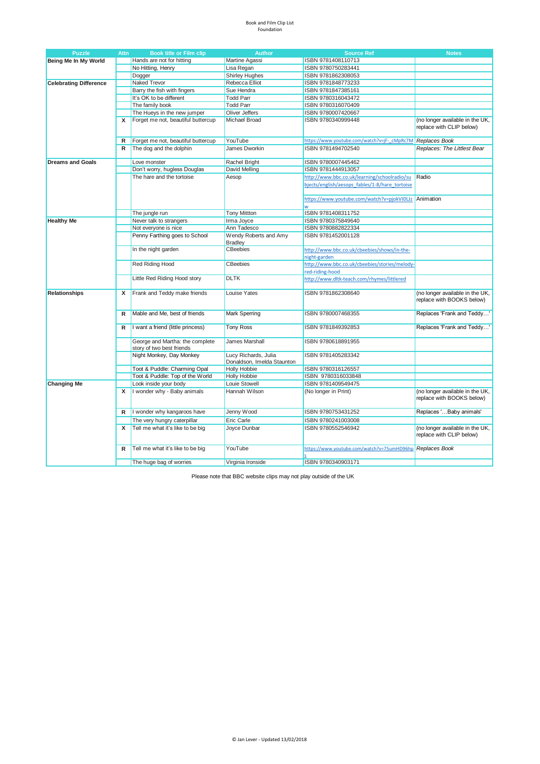#### Book and Film Clip List Foundation

| <b>Puzzle</b>                 | <b>Attn</b> | <b>Book title or Film clip</b>                               | <b>Author</b>                                      | <b>Source Ref</b>                                        | <b>Notes</b>                                                 |
|-------------------------------|-------------|--------------------------------------------------------------|----------------------------------------------------|----------------------------------------------------------|--------------------------------------------------------------|
| Being Me In My World          |             | Hands are not for hitting                                    | Martine Agassi                                     | ISBN 9781408110713                                       |                                                              |
|                               |             | No Hitting, Henry                                            | Lisa Regan                                         | ISBN 9780750283441                                       |                                                              |
|                               |             | Dogger                                                       | <b>Shirley Hughes</b>                              | ISBN 9781862308053                                       |                                                              |
| <b>Celebrating Difference</b> |             | Naked Trevor                                                 | Rebecca Elliot                                     | ISBN 9781848773233                                       |                                                              |
|                               |             | Barry the fish with fingers                                  | Sue Hendra                                         | ISBN 9781847385161                                       |                                                              |
|                               |             | It's OK to be different                                      | <b>Todd Parr</b>                                   | ISBN 9780316043472                                       |                                                              |
|                               |             | The family book                                              | <b>Todd Parr</b>                                   | ISBN 9780316070409                                       |                                                              |
|                               |             | The Hueys in the new jumper                                  | Oliver Jeffers                                     | ISBN 9780007420667                                       |                                                              |
|                               | x           | Forget me not, beautiful buttercup                           | <b>Michael Broad</b>                               | ISBN 9780340999448                                       | (no longer available in the UK,<br>replace with CLIP below)  |
|                               | R           | Forget me not, beautiful buttercup                           | YouTube                                            | https://www.youtube.com/watch?v=jF-cMpRc7M Replaces Book |                                                              |
|                               | R           | The dog and the dolphin                                      | James Dworkin                                      | ISBN 9781494702540                                       | Replaces: The Littlest Bear                                  |
|                               |             |                                                              |                                                    |                                                          |                                                              |
| <b>Dreams and Goals</b>       |             | Love monster                                                 | Rachel Bright                                      | ISBN 9780007445462                                       |                                                              |
|                               |             | Don't worry, hugless Douglas                                 | David Melling                                      | ISBN 9781444913057                                       |                                                              |
|                               |             | The hare and the tortoise                                    | Aesop                                              | http://www.bbc.co.uk/learning/schoolradio/su             | Radio                                                        |
|                               |             |                                                              |                                                    | bjects/english/aesops fables/1-8/hare tortoise           |                                                              |
|                               |             |                                                              |                                                    | https://www.youtube.com/watch?v=pjokVI0LJz Animation     |                                                              |
|                               |             |                                                              |                                                    |                                                          |                                                              |
|                               |             | The jungle run                                               | <b>Tony Mittton</b>                                | ISBN 9781408311752                                       |                                                              |
| <b>Healthy Me</b>             |             | Never talk to strangers                                      | Irma Joyce                                         | ISBN 9780375849640                                       |                                                              |
|                               |             | Not everyone is nice                                         | Ann Tadesco                                        | ISBN 9780882822334                                       |                                                              |
|                               |             | Penny Farthing goes to School                                | Wendy Roberts and Amy                              | ISBN 9781452001128                                       |                                                              |
|                               |             | In the night garden                                          | <b>Bradley</b><br><b>CBeebies</b>                  | http://www.bbc.co.uk/cbeebies/shows/in-the-              |                                                              |
|                               |             |                                                              |                                                    | night-garden                                             |                                                              |
|                               |             | <b>Red Riding Hood</b>                                       | CBeebies                                           | http://www.bbc.co.uk/cbeebies/stories/melody-            |                                                              |
|                               |             |                                                              |                                                    | red-riding-hood                                          |                                                              |
|                               |             | Little Red Riding Hood story                                 | <b>DLTK</b>                                        | http://www.dltk-teach.com/rhymes/littlered               |                                                              |
|                               |             |                                                              |                                                    |                                                          |                                                              |
| <b>Relationships</b>          | x           | Frank and Teddy make friends                                 | <b>Louise Yates</b>                                | ISBN 9781862308640                                       | (no longer available in the UK,<br>replace with BOOKS below) |
|                               | R           | Mable and Me, best of friends                                | <b>Mark Sperring</b>                               | ISBN 9780007468355                                       | Replaces 'Frank and Teddy'                                   |
|                               | R           | I want a friend (little princess)                            | <b>Tony Ross</b>                                   | ISBN 9781849392853                                       | Replaces 'Frank and Teddy'                                   |
|                               |             | George and Martha: the complete<br>story of two best friends | James Marshall                                     | ISBN 9780618891955                                       |                                                              |
|                               |             | Night Monkey, Day Monkey                                     | Lucy Richards, Julia<br>Donaldson, Imelda Staunton | ISBN 9781405283342                                       |                                                              |
|                               |             | Toot & Puddle: Charming Opal                                 | <b>Holly Hobbie</b>                                | ISBN 9780316126557                                       |                                                              |
|                               |             | Toot & Puddle: Top of the World                              | <b>Holly Hobbie</b>                                | ISBN 9780316033848                                       |                                                              |
| <b>Changing Me</b>            |             | Look inside your body                                        | Louie Stowell                                      | ISBN 9781409549475                                       |                                                              |
|                               | х           | I wonder why - Baby animals                                  | Hannah Wilson                                      | (No longer in Print)                                     | (no longer available in the UK,<br>replace with BOOKS below) |
|                               |             |                                                              |                                                    | ISBN 9780753431252                                       |                                                              |
|                               | R           | I wonder why kangaroos have                                  | Jenny Wood                                         |                                                          | Replaces ' Baby animals'                                     |
|                               |             | The very hungry caterpillar                                  | Eric Carle                                         | ISBN 9780241003008                                       |                                                              |
|                               | x           | Tell me what it's like to be big                             | Joyce Dunbar                                       | ISBN 9780552546942                                       | (no longer available in the UK,<br>replace with CLIP below)  |
|                               | R           | Tell me what it's like to be big                             | YouTube                                            | https://www.youtube.com/watch?v=75umHD96hp               | Replaces Book                                                |
|                               |             | The huge bag of worries                                      | Virginia Ironside                                  | ISBN 9780340903171                                       |                                                              |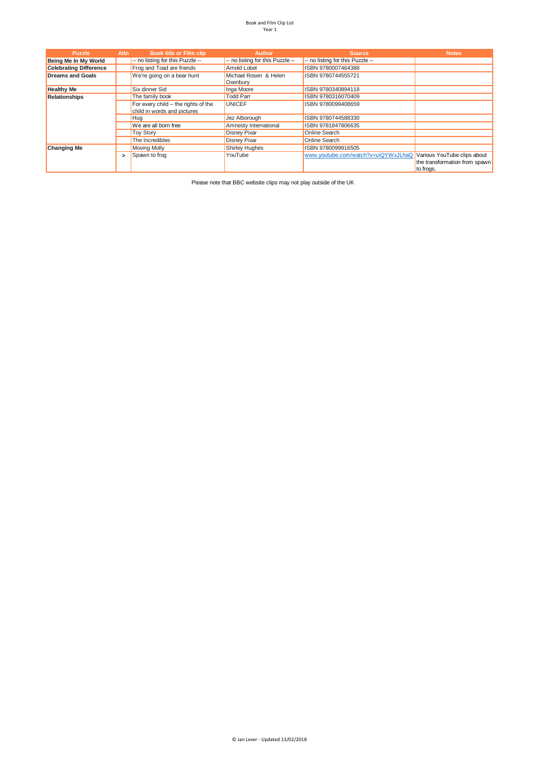| <b>Puzzle</b>                 | <b>Attn</b> | Book title or Film clip                                              | <b>Author</b>                     | <b>Source</b>                                                   | <b>Notes</b>                               |
|-------------------------------|-------------|----------------------------------------------------------------------|-----------------------------------|-----------------------------------------------------------------|--------------------------------------------|
| Being Me In My World          |             | -- no listing for this Puzzle --                                     | -- no listing for this Puzzle --  | -- no listing for this Puzzle --                                |                                            |
| <b>Celebrating Difference</b> |             | Frog and Toad are friends                                            | Arnold Lobel                      | ISBN 9780007464388                                              |                                            |
| <b>Dreams and Goals</b>       |             | We're going on a bear hunt                                           | Michael Rosen & Helen<br>Oxenbury | ISBN 9780744555721                                              |                                            |
| <b>Healthy Me</b>             |             | Six dinner Sid                                                       | Inga Moore                        | ISBN 9780340894118                                              |                                            |
| <b>Relationships</b>          |             | The family book                                                      | <b>Todd Parr</b>                  | ISBN 9780316070409                                              |                                            |
|                               |             | For every child $-$ the rights of the<br>child in words and pictures | <b>UNICEF</b>                     | ISBN 9780099408659                                              |                                            |
|                               |             | <b>Hua</b>                                                           | Jez Alborough                     | ISBN 9780744588330                                              |                                            |
|                               |             | We are all born free                                                 | Amnesty International             | ISBN 9781847806635                                              |                                            |
|                               |             | <b>Toy Story</b>                                                     | <b>Disney Pixar</b>               | Online Search                                                   |                                            |
|                               |             | The Incredibles                                                      | <b>Disney Pixar</b>               | Online Search                                                   |                                            |
| <b>Changing Me</b>            |             | <b>Moving Molly</b>                                                  | <b>Shirley Hughes</b>             | ISBN 9780099916505                                              |                                            |
|                               | $\geq$      | Spawn to frog                                                        | YouTube                           | www.youtube.com/watch?v=uiQYWxJLhaQ Various YouTube clips about | the transformation from spawn<br>to frogs. |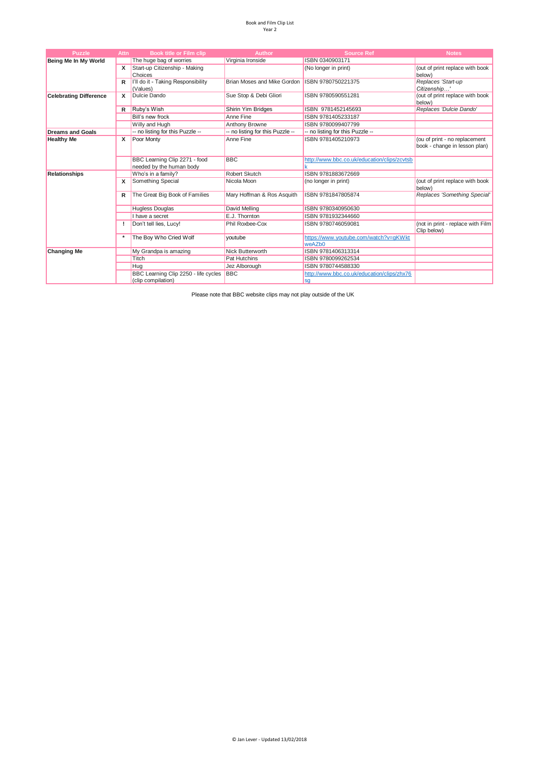| <b>Puzzle</b>                 | <b>Attn</b> | <b>Book title or Film clip</b>                             | <b>Author</b>                    | <b>Source Ref</b>                                | <b>Notes</b>                                                   |
|-------------------------------|-------------|------------------------------------------------------------|----------------------------------|--------------------------------------------------|----------------------------------------------------------------|
| Being Me In My World          |             | The huge bag of worries                                    | Virginia Ironside                | ISBN 0340903171                                  |                                                                |
|                               | x           | Start-up Citizenship - Making<br>Choices                   |                                  | (No longer in print)                             | (out of print replace with book<br>below)                      |
|                               | R           | I'll do it - Taking Responsibility<br>(Values)             | Brian Moses and Mike Gordon      | ISBN 9780750221375                               | Replaces 'Start-up<br>Citizenship'                             |
| <b>Celebrating Difference</b> | x           | Dulcie Dando                                               | Sue Stop & Debi Gliori           | ISBN 9780590551281                               | (out of print replace with book<br>below)                      |
|                               | R           | Ruby's Wish                                                | Shirin Yim Bridges               | ISBN 9781452145693                               | Replaces 'Dulcie Dando'                                        |
|                               |             | Bill's new frock                                           | Anne Fine                        | ISBN 9781405233187                               |                                                                |
|                               |             | Willy and Hugh                                             | Anthony Browne                   | ISBN 9780099407799                               |                                                                |
| <b>Dreams and Goals</b>       |             | -- no listing for this Puzzle --                           | -- no listing for this Puzzle -- | -- no listing for this Puzzle --                 |                                                                |
| <b>Healthy Me</b>             | x           | Poor Monty                                                 | Anne Fine                        | ISBN 9781405210973                               | (ou of print - no replacement<br>book - change in lesson plan) |
|                               |             | BBC Learning Clip 2271 - food<br>needed by the human body  | <b>BBC</b>                       | http://www.bbc.co.uk/education/clips/zcvtsb      |                                                                |
| <b>Relationships</b>          |             | Who's in a family?                                         | Robert Skutch                    | ISBN 9781883672669                               |                                                                |
|                               | x           | Something Special                                          | Nicola Moon                      | (no longer in print)                             | (out of print replace with book<br>below)                      |
|                               | R           | The Great Big Book of Families                             | Mary Hoffman & Ros Asquith       | ISBN 9781847805874                               | Replaces 'Something Special'                                   |
|                               |             | <b>Hugless Douglas</b>                                     | David Melling                    | ISBN 9780340950630                               |                                                                |
|                               |             | I have a secret                                            | E.J. Thornton                    | ISBN 9781932344660                               |                                                                |
|                               |             | Don't tell lies, Lucy!                                     | Phil Roxbee-Cox                  | ISBN 9780746059081                               | (not in print - replace with Film<br>Clip below)               |
|                               |             | The Boy Who Cried Wolf                                     | youtube                          | https://www.youtube.com/watch?v=qKWkt<br>weAZb0  |                                                                |
| <b>Changing Me</b>            |             | My Grandpa is amazing                                      | Nick Butterworth                 | ISBN 9781406313314                               |                                                                |
|                               |             | Titch                                                      | Pat Hutchins                     | ISBN 9780099262534                               |                                                                |
|                               |             | Hug                                                        | Jez Alborough                    | ISBN 9780744588330                               |                                                                |
|                               |             | BBC Learning Clip 2250 - life cycles<br>(clip compilation) | <b>BBC</b>                       | http://www.bbc.co.uk/education/clips/zhx76<br>sa |                                                                |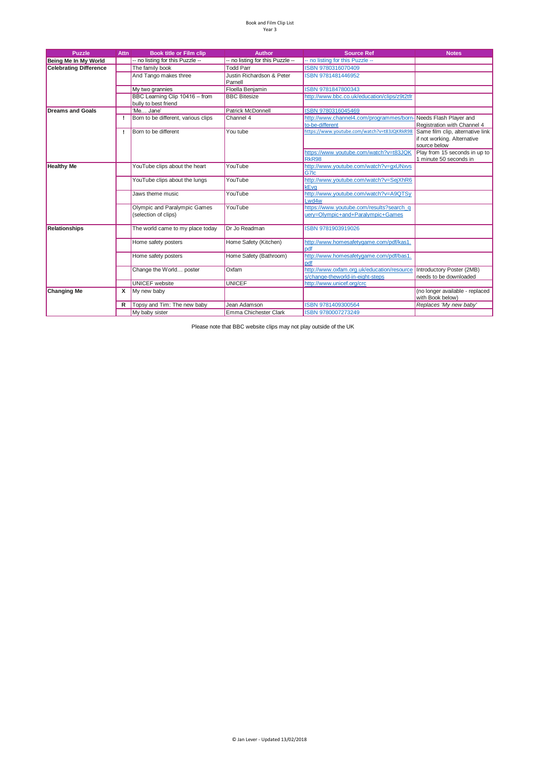| <b>Puzzle</b>                 | <b>Attn</b> | <b>Book title or Film clip</b>                         | <b>Author</b>                        | <b>Source Ref</b>                                                                 | <b>Notes</b>                                                                    |
|-------------------------------|-------------|--------------------------------------------------------|--------------------------------------|-----------------------------------------------------------------------------------|---------------------------------------------------------------------------------|
| Being Me In My World          |             | -- no listing for this Puzzle --                       | -- no listing for this Puzzle --     | -- no listing for this Puzzle --                                                  |                                                                                 |
| <b>Celebrating Difference</b> |             | The family book                                        | <b>Todd Parr</b>                     | ISBN 9780316070409                                                                |                                                                                 |
|                               |             | And Tango makes three                                  | Justin Richardson & Peter<br>Parnell | ISBN 9781481446952                                                                |                                                                                 |
|                               |             | My two grannies                                        | Floella Benjamin                     | ISBN 9781847800343                                                                |                                                                                 |
|                               |             | BBC Learning Clip 10416 - from<br>bully to best friend | <b>BBC Bitesize</b>                  | http://www.bbc.co.uk/education/clips/z9t2tfr                                      |                                                                                 |
| <b>Dreams and Goals</b>       |             | 'Me Jane'                                              | <b>Patrick McDonnell</b>             | ISBN 9780316045469                                                                |                                                                                 |
|                               |             | Born to be different, various clips                    | Channel 4                            | http://www.channel4.com/programmes/born-Needs Flash Player and<br>to-be-different | Registration with Channel 4                                                     |
|                               | Τ.          | Born to be different                                   | You tube                             | https://www.youtube.com/watch?v=t83JQKRkR98                                       | Same film clip, alternative link<br>if not working. Alternative<br>source below |
|                               |             |                                                        |                                      | https://www.youtube.com/watch?v=t83JQK<br><b>RkR98</b>                            | Play from 15 seconds in up to<br>1 minute 50 seconds in                         |
| <b>Healthy Me</b>             |             | YouTube clips about the heart                          | YouTube                              | http://www.youtube.com/watch?v=qxUNxvs<br>G7lc                                    |                                                                                 |
|                               |             | YouTube clips about the lungs                          | YouTube                              | http://www.youtube.com/watch?v=SejXhR6<br>kEva                                    |                                                                                 |
|                               |             | Jaws theme music                                       | YouTube                              | http://www.youtube.com/watch?v=A9QTSy<br>Lwd4w                                    |                                                                                 |
|                               |             | Olympic and Paralympic Games<br>(selection of clips)   | YouTube                              | https://www.youtube.com/results?search_q<br>uery=Olympic+and+Paralympic+Games     |                                                                                 |
| Relationships                 |             | The world came to my place today                       | Dr Jo Readman                        | ISBN 9781903919026                                                                |                                                                                 |
|                               |             | Home safety posters                                    | Home Safety (Kitchen)                | http://www.homesafetygame.com/pdf/kas1.<br>pdf                                    |                                                                                 |
|                               |             | Home safety posters                                    | Home Safety (Bathroom)               | http://www.homesafetygame.com/pdf/bas1.<br>lpdf                                   |                                                                                 |
|                               |             | Change the World poster                                | Oxfam                                | http://www.oxfam.org.uk/education/resource<br>s/change-theworld-in-eight-steps    | Introductory Poster (2MB)<br>needs to be downloaded                             |
|                               |             | <b>UNICEF</b> website                                  | <b>UNICEF</b>                        | http://www.unicef.org/crc                                                         |                                                                                 |
| <b>Changing Me</b>            | x           | My new baby                                            |                                      |                                                                                   | (no longer available - replaced<br>with Book below)                             |
|                               | R           | Topsy and Tim: The new baby                            | Jean Adamson                         | ISBN 9781409300564                                                                | Replaces 'My new baby'                                                          |
|                               |             | My baby sister                                         | Emma Chichester Clark                | ISBN 9780007273249                                                                |                                                                                 |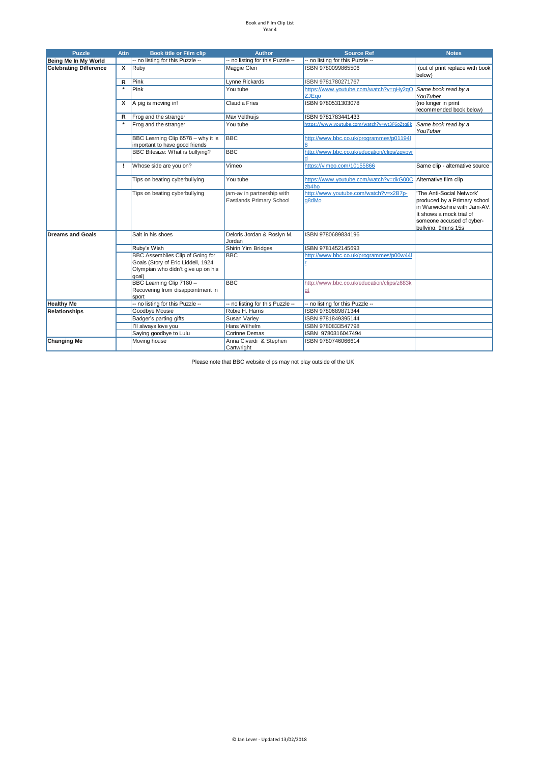| <b>Puzzle</b>                 | <b>Attn</b>             | <b>Book title or Film clip</b>                                                                                               | <b>Author</b>                                          | <b>Source Ref</b>                                        | <b>Notes</b>                                                                                                                                                              |
|-------------------------------|-------------------------|------------------------------------------------------------------------------------------------------------------------------|--------------------------------------------------------|----------------------------------------------------------|---------------------------------------------------------------------------------------------------------------------------------------------------------------------------|
| Being Me In My World          |                         | -- no listing for this Puzzle --                                                                                             | -- no listing for this Puzzle --                       | -- no listing for this Puzzle --                         |                                                                                                                                                                           |
| <b>Celebrating Difference</b> | $\overline{\mathbf{x}}$ | Ruby                                                                                                                         | Maggie Glen                                            | ISBN 9780099865506                                       | (out of print replace with book<br>below)                                                                                                                                 |
|                               | $\mathsf{R}$            | Pink                                                                                                                         | Lynne Rickards                                         | ISBN 9781780271767                                       |                                                                                                                                                                           |
|                               | $\star$                 | Pink                                                                                                                         | You tube                                               | https://www.youtube.com/watch?v=qHy2qO<br><b>ZJEgo</b>   | Same book read by a<br>YouTuber                                                                                                                                           |
|                               | x                       | A pig is moving in!                                                                                                          | <b>Claudia Fries</b>                                   | ISBN 9780531303078                                       | (no longer in print<br>recommended book below)                                                                                                                            |
|                               | R                       | Frog and the stranger                                                                                                        | Max Velthuijs                                          | ISBN 9781783441433                                       |                                                                                                                                                                           |
|                               |                         | Frog and the stranger                                                                                                        | You tube                                               | https://www.youtube.com/watch?v=wt3F6oZtg8k              | Same book read by a<br>YouTuber                                                                                                                                           |
|                               |                         | BBC Learning Clip 6578 - why it is<br>important to have good friends                                                         | <b>BBC</b>                                             | http://www.bbc.co.uk/programmes/p01194l                  |                                                                                                                                                                           |
|                               |                         | BBC Bitesize: What is bullying?                                                                                              | <b>BBC</b>                                             | http://www.bbc.co.uk/education/clips/zqypyr              |                                                                                                                                                                           |
|                               | J.                      | Whose side are you on?                                                                                                       | Vimeo                                                  | https://vimeo.com/10155866                               | Same clip - alternative source                                                                                                                                            |
|                               |                         | Tips on beating cyberbullying                                                                                                | You tube                                               | https://www.youtube.com/watch?v=dkG00C<br>zb4ho          | Alternative film clip                                                                                                                                                     |
|                               |                         | Tips on beating cyberbullying                                                                                                | jam-av in partnership with<br>Eastlands Primary School | http://www.youtube.com/watch?v=x2B7p-<br>q8dMo           | 'The Anti-Social Network'<br>produced by a Primary school<br>in Warwickshire with Jam-AV.<br>It shows a mock trial of<br>someone accused of cyber-<br>bullying. 9mins 15s |
| <b>Dreams and Goals</b>       |                         | Salt in his shoes                                                                                                            | Deloris Jordan & Roslyn M.<br>Jordan                   | ISBN 9780689834196                                       |                                                                                                                                                                           |
|                               |                         | Ruby's Wish                                                                                                                  | <b>Shirin Yim Bridges</b>                              | ISBN 9781452145693                                       |                                                                                                                                                                           |
|                               |                         | <b>BBC Assemblies Clip of Going for</b><br>Goals (Story of Eric Liddell, 1924<br>Olympian who didn't give up on his<br>qoal) | <b>BBC</b>                                             | http://www.bbc.co.uk/programmes/p00w44l                  |                                                                                                                                                                           |
|                               |                         | BBC Learning Clip 7180 -<br>Recovering from disappointment in<br>sport                                                       | <b>BBC</b>                                             | http://www.bbc.co.uk/education/clips/z683k<br><u>Igt</u> |                                                                                                                                                                           |
| <b>Healthy Me</b>             |                         | -- no listing for this Puzzle --                                                                                             | -- no listing for this Puzzle --                       | -- no listing for this Puzzle --                         |                                                                                                                                                                           |
| <b>Relationships</b>          |                         | Goodbye Mousie                                                                                                               | Robie H. Harris                                        | ISBN 9780689871344                                       |                                                                                                                                                                           |
|                               |                         | Badger's parting gifts                                                                                                       | Susan Varley                                           | ISBN 9781849395144                                       |                                                                                                                                                                           |
|                               |                         | I'll always love you                                                                                                         | Hans Wilhelm                                           | ISBN 9780833547798                                       |                                                                                                                                                                           |
|                               |                         | Saying goodbye to Lulu                                                                                                       | <b>Corinne Demas</b>                                   | ISBN 9780316047494                                       |                                                                                                                                                                           |
| <b>Changing Me</b>            |                         | Moving house                                                                                                                 | Anna Civardi & Stephen<br>Cartwright                   | ISBN 9780746066614                                       |                                                                                                                                                                           |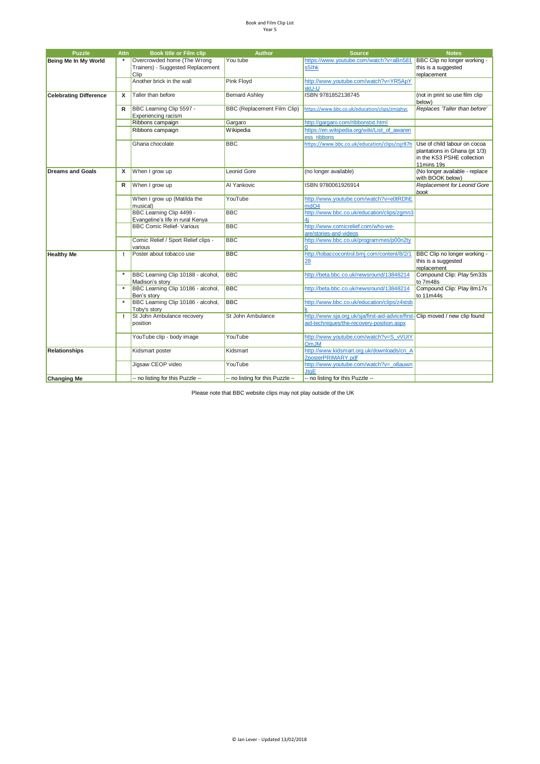| <b>Puzzle</b>                 | <b>Attn</b> | Book title or Film clip                                          | <b>Author</b>                    | <b>Source</b>                                                                                                              | <b>Notes</b>                                                                                              |
|-------------------------------|-------------|------------------------------------------------------------------|----------------------------------|----------------------------------------------------------------------------------------------------------------------------|-----------------------------------------------------------------------------------------------------------|
| Being Me In My World          |             | Overcrowded home (The Wrong<br>Trainers) - Suggested Replacement | You tube                         | https://www.youtube.com/watch?v=aBn581<br>sSihk                                                                            | BBC Clip no longer working -<br>this is a suggested                                                       |
|                               |             | Clip<br>Another brick in the wall                                | <b>Pink Floyd</b>                | http://www.youtube.com/watch?v=YR5ApY<br>xkU-U                                                                             | replacement                                                                                               |
| <b>Celebrating Difference</b> | x           | Taller than before                                               | <b>Bernard Ashley</b>            | ISBN 9781852138745                                                                                                         | (not in print so use film clip<br>below)                                                                  |
|                               | R           | BBC Learning Clip 5597 -<br>Experiencing racism                  | BBC (Replacement Film Clip)      | https://www.bbc.co.uk/education/clips/zmjqhyc                                                                              | Replaces 'Taller than before'                                                                             |
|                               |             | Ribbons campaign                                                 | Gargaro                          | http://gargaro.com/ribbonstxt.html                                                                                         |                                                                                                           |
|                               |             | Ribbons campaign                                                 | Wikipedia                        | https://en.wikipedia.org/wiki/List of awaren<br>ess ribbons                                                                |                                                                                                           |
|                               |             | Ghana chocolate                                                  | <b>BBC</b>                       | https://www.bbc.co.uk/education/clips/zsjr87h                                                                              | Use of child labour on cocoa<br>plantations in Ghana (pt 1/3)<br>in the KS3 PSHE collection<br>11mins 19s |
| <b>Dreams and Goals</b>       | x           | When I grow up                                                   | Leonid Gore                      | (no longer available)                                                                                                      | (No longer available - replace<br>with BOOK below)                                                        |
|                               | R           | When I grow up                                                   | Al Yankovic                      | ISBN 9780061926914                                                                                                         | Replacement for Leonid Gore<br>book                                                                       |
|                               |             | When I grow up (Matilda the<br>musical)                          | YouTube                          | http://www.youtube.com/watch?v=e0tRDhE<br>mdO4                                                                             |                                                                                                           |
|                               |             | BBC Learning Clip 4499 -<br>Evangeline's life in rural Kenya     | <b>BBC</b>                       | http://www.bbc.co.uk/education/clips/zgmn3<br>4i                                                                           |                                                                                                           |
|                               |             | <b>BBC Comic Relief- Various</b>                                 | <b>BBC</b>                       | http://www.comicrelief.com/who-we-<br>are/stories-and-videos                                                               |                                                                                                           |
|                               |             | Comic Relief / Sport Relief clips -<br>various                   | <b>BBC</b>                       | http://www.bbc.co.uk/programmes/p00n2ty                                                                                    |                                                                                                           |
| <b>Healthy Me</b>             | I.          | Poster about tobacco use                                         | <b>BBC</b>                       | http://tobaccocontrol.bmj.com/content/8/2/1<br>28                                                                          | BBC Clip no longer working -<br>this is a suggested<br>replacement                                        |
|                               |             | BBC Learning Clip 10188 - alcohol,<br>Madison's story            | <b>BBC</b>                       | http://beta.bbc.co.uk/newsround/13848214                                                                                   | Compound Clip: Play 5m33s<br>to 7m48s                                                                     |
|                               |             | BBC Learning Clip 10186 - alcohol,<br>Ben's story                | <b>BBC</b>                       | http://beta.bbc.co.uk/newsround/13848214                                                                                   | Compound Clip: Play 8m17s<br>to 11m44s                                                                    |
|                               |             | BBC Learning Clip 10186 - alcohol,<br>Toby's story               | <b>BBC</b>                       | http://www.bbc.co.uk/education/clips/z4stsb                                                                                |                                                                                                           |
|                               | Ţ.          | St John Ambulance recovery<br>position                           | St John Ambulance                | http://www.sja.org.uk/sja/first-aid-advice/first- Clip moved / new clip found<br>aid-techniques/the-recovery-position.aspx |                                                                                                           |
|                               |             | YouTube clip - body image                                        | YouTube                          | http://www.voutube.com/watch?v=S_vVUIY<br>OmJM                                                                             |                                                                                                           |
| <b>Relationships</b>          |             | Kidsmart poster                                                  | Kidsmart                         | http://www.kidsmart.org.uk/downloads/cn A<br>2posterPRIMARY.pdf                                                            |                                                                                                           |
|                               |             | Jigsaw CEOP video                                                | YouTube                          | http://www.youtube.com/watch?v= o8auwn<br><b>JtaE</b>                                                                      |                                                                                                           |
| <b>Changing Me</b>            |             | -- no listing for this Puzzle --                                 | -- no listing for this Puzzle -- | -- no listing for this Puzzle --                                                                                           |                                                                                                           |